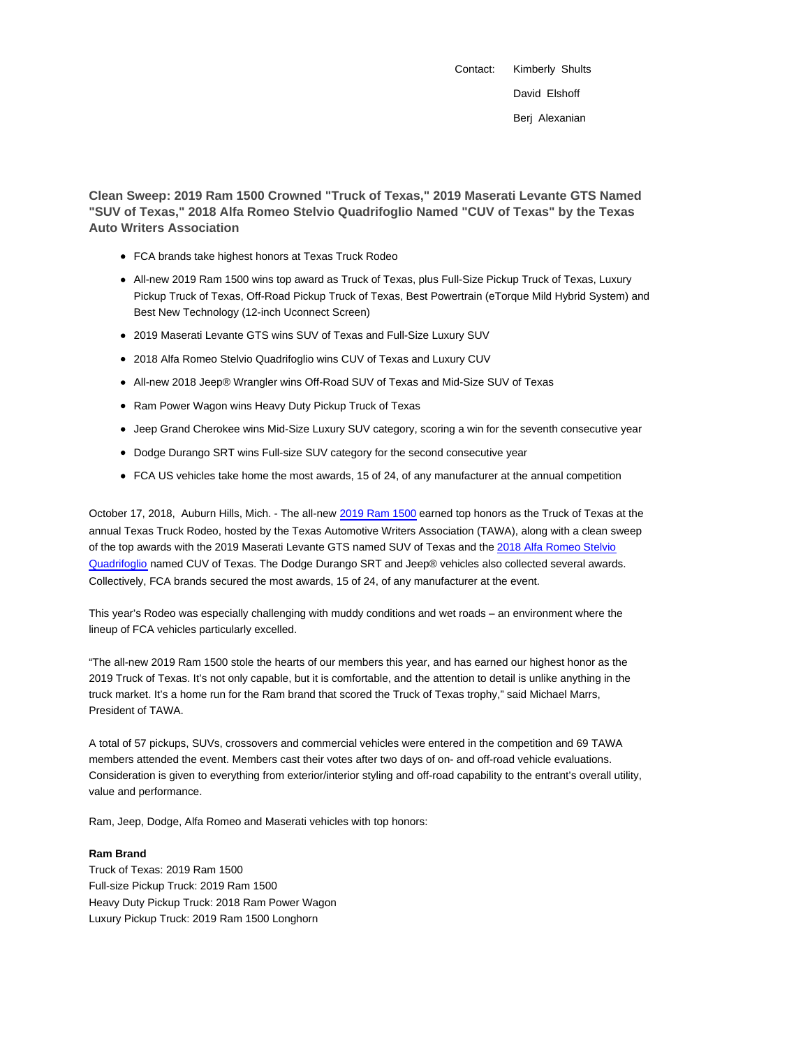Contact: Kimberly Shults David Elshoff Berj Alexanian

**Clean Sweep: 2019 Ram 1500 Crowned "Truck of Texas," 2019 Maserati Levante GTS Named "SUV of Texas," 2018 Alfa Romeo Stelvio Quadrifoglio Named "CUV of Texas" by the Texas Auto Writers Association**

- FCA brands take highest honors at Texas Truck Rodeo
- All-new 2019 Ram 1500 wins top award as Truck of Texas, plus Full-Size Pickup Truck of Texas, Luxury Pickup Truck of Texas, Off-Road Pickup Truck of Texas, Best Powertrain (eTorque Mild Hybrid System) and Best New Technology (12-inch Uconnect Screen)
- 2019 Maserati Levante GTS wins SUV of Texas and Full-Size Luxury SUV
- 2018 Alfa Romeo Stelvio Quadrifoglio wins CUV of Texas and Luxury CUV
- All-new 2018 Jeep® Wrangler wins Off-Road SUV of Texas and Mid-Size SUV of Texas
- Ram Power Wagon wins Heavy Duty Pickup Truck of Texas
- Jeep Grand Cherokee wins Mid-Size Luxury SUV category, scoring a win for the seventh consecutive year
- Dodge Durango SRT wins Full-size SUV category for the second consecutive year
- FCA US vehicles take home the most awards, 15 of 24, of any manufacturer at the annual competition

October 17, 2018, Auburn Hills, Mich. - The all-new 2019 Ram 1500 earned top honors as the Truck of Texas at the annual Texas Truck Rodeo, hosted by the Texas Automotive Writers Association (TAWA), along with a clean sweep of the top awards with the 2019 Maserati Levante GTS named SUV of Texas and the 2018 Alfa Romeo Stelvio Quadrifoglio named CUV of Texas. The Dodge Durango SRT and Jeep® vehicles also collected several awards. Collectively, FCA brands secured the most awards, 15 of 24, of any manufacturer at the event.

This year's Rodeo was especially challenging with muddy conditions and wet roads – an environment where the lineup of FCA vehicles particularly excelled.

"The all-new 2019 Ram 1500 stole the hearts of our members this year, and has earned our highest honor as the 2019 Truck of Texas. It's not only capable, but it is comfortable, and the attention to detail is unlike anything in the truck market. It's a home run for the Ram brand that scored the Truck of Texas trophy," said Michael Marrs, President of TAWA.

A total of 57 pickups, SUVs, crossovers and commercial vehicles were entered in the competition and 69 TAWA members attended the event. Members cast their votes after two days of on- and off-road vehicle evaluations. Consideration is given to everything from exterior/interior styling and off-road capability to the entrant's overall utility, value and performance.

Ram, Jeep, Dodge, Alfa Romeo and Maserati vehicles with top honors:

# **Ram Brand**

Truck of Texas: 2019 Ram 1500 Full-size Pickup Truck: 2019 Ram 1500 Heavy Duty Pickup Truck: 2018 Ram Power Wagon Luxury Pickup Truck: 2019 Ram 1500 Longhorn